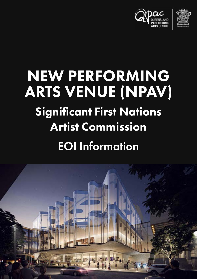



# NEW PERFORMING ARTS VENUE (NPAV)

## Significant First Nations Artist Commission

## EOI Information

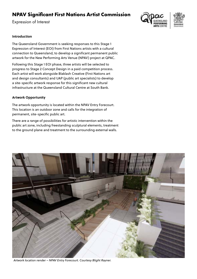### **NPAV Significant First Nations Artist Commission**

Expression of Interest



#### **Introduction**

The Queensland Government is seeking responses to this Stage 1 Expression of Interest (EOI) from First Nations artists with a cultural connection to Queensland, to develop a significant permanent public artwork for the New Performing Arts Venue (NPAV) project at QPAC.

Following this Stage 1 EOI phase, three artists will be selected to progress to Stage 2 Concept Design in a paid competition process. Each artist will work alongside Blaklash Creative (First Nations art and design consultants) and UAP (public art specialists) to develop a site-specific artwork response for this significant new cultural infrastructure at the Queensland Cultural Centre at South Bank.

#### **Artwork Opportunity**

The artwork opportunity is located within the NPAV Entry Forecourt. This location is an outdoor zone and calls for the integration of permanent, site-specific public art.

There are a range of possibilities for artistic intervention within the public art zone, including freestanding sculptural elements, treatment to the ground plane and treatment to the surrounding external walls.



*Artwork location render – NPAV Entry Forecourt. Courtesy Blight Rayner.*